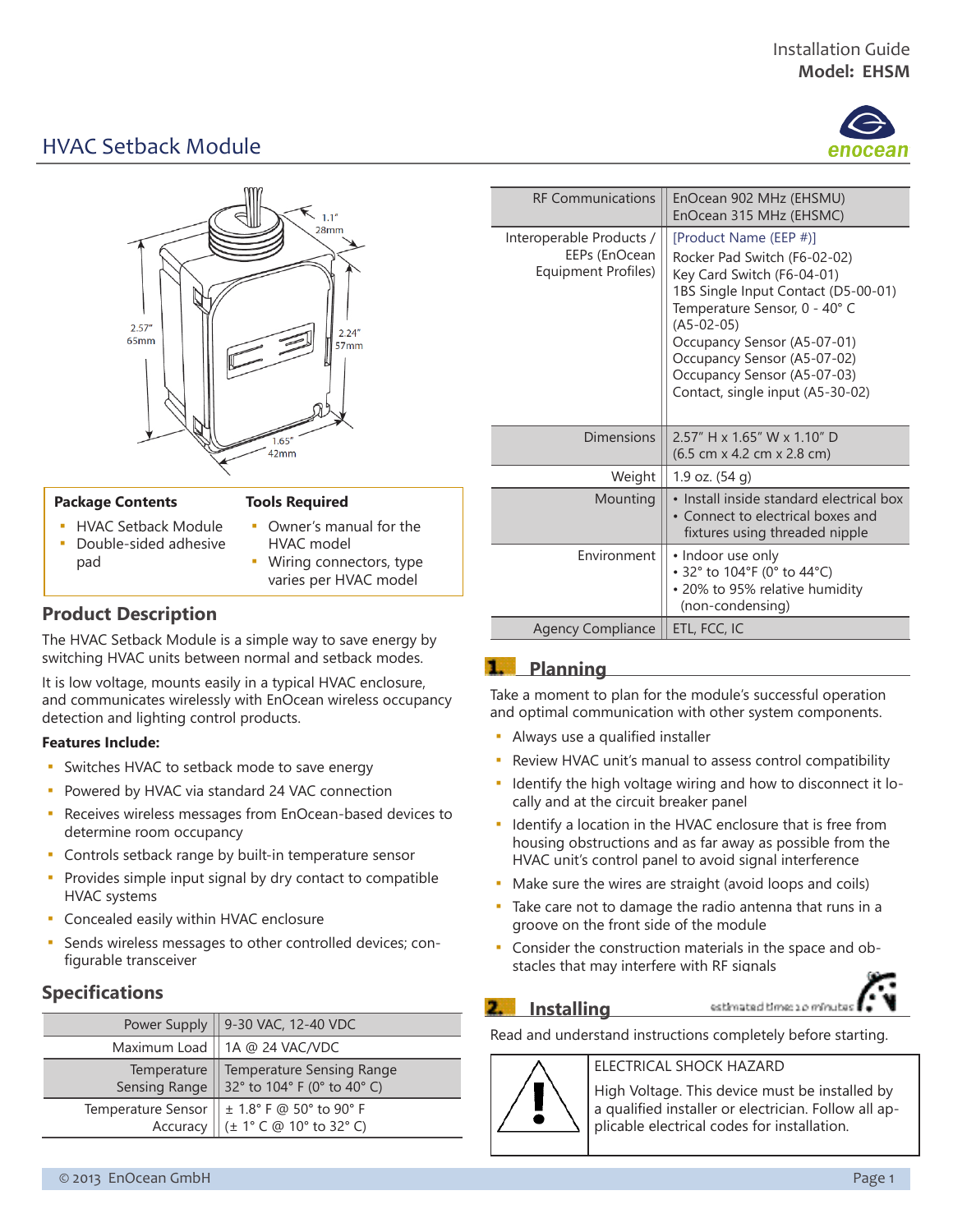

# HVAC Setback Module



#### **Package Contents**

#### **Tools Required**

- **· HVAC Setback Module** ▪ Double-sided adhesive pad
- Owner's manual for the HVAC model
- Wiring connectors, type varies per HVAC model

### **Product Description**

The HVAC Setback Module is a simple way to save energy by switching HVAC units between normal and setback modes.

It is low voltage, mounts easily in a typical HVAC enclosure, and communicates wirelessly with EnOcean wireless occupancy detection and lighting control products.

### **Features Include:**

- **·** Switches HVAC to setback mode to save energy
- **Powered by HVAC via standard 24 VAC connection**
- Receives wireless messages from EnOcean-based devices to determine room occupancy
- Controls setback range by built-in temperature sensor
- **Provides simple input signal by dry contact to compatible** HVAC systems
- Concealed easily within HVAC enclosure
- Sends wireless messages to other controlled devices; configurable transceiver

### **Specifications**

| Power Supply       | 9-30 VAC, 12-40 VDC         |
|--------------------|-----------------------------|
| Maximum Load       | 1A @ 24 VAC/VDC             |
| Temperature        | Temperature Sensing Range   |
| Sensing Range      | 32° to 104° F (0° to 40° C) |
| Temperature Sensor | $\pm$ 1.8° F @ 50° to 90° F |
| Accuracy           | (± 1° C @ 10° to 32° C)     |

| <b>RF Communications</b>                                         | EnOcean 902 MHz (EHSMU)<br>EnOcean 315 MHz (EHSMC)                                                                                                                                                                                                                                                            |
|------------------------------------------------------------------|---------------------------------------------------------------------------------------------------------------------------------------------------------------------------------------------------------------------------------------------------------------------------------------------------------------|
| Interoperable Products /<br>EEPs (EnOcean<br>Equipment Profiles) | [Product Name (EEP #)]<br>Rocker Pad Switch (F6-02-02)<br>Key Card Switch (F6-04-01)<br>1BS Single Input Contact (D5-00-01)<br>Temperature Sensor, 0 - 40° C<br>$(A5-02-05)$<br>Occupancy Sensor (A5-07-01)<br>Occupancy Sensor (A5-07-02)<br>Occupancy Sensor (A5-07-03)<br>Contact, single input (A5-30-02) |
| Dimensions                                                       | 2.57" H x 1.65" W x 1.10" D<br>$(6.5 \text{ cm} \times 4.2 \text{ cm} \times 2.8 \text{ cm})$                                                                                                                                                                                                                 |
| Weight                                                           | 1.9 oz. (54 g)                                                                                                                                                                                                                                                                                                |
| Mounting                                                         | • Install inside standard electrical box<br>• Connect to electrical boxes and<br>fixtures using threaded nipple                                                                                                                                                                                               |
| <b>Fnvironment</b>                                               | • Indoor use only<br>• 32° to 104°F (0° to 44°C)<br>• 20% to 95% relative humidity<br>(non-condensing)                                                                                                                                                                                                        |
| <b>Agency Compliance</b>                                         | ETL, FCC, IC                                                                                                                                                                                                                                                                                                  |

## **1.** Planning

Take a moment to plan for the module's successful operation and optimal communication with other system components.

- **Always use a qualified installer**
- Review HVAC unit's manual to assess control compatibility
- Identify the high voltage wiring and how to disconnect it locally and at the circuit breaker panel
- **.** Identify a location in the HVAC enclosure that is free from housing obstructions and as far away as possible from the HVAC unit's control panel to avoid signal interference
- Make sure the wires are straight (avoid loops and coils)
- Take care not to damage the radio antenna that runs in a groove on the front side of the module
- Consider the construction materials in the space and obstacles that may interfere with RF signals

### **2.** Installing

●

estimated time: 10 minutes

Read and understand instructions completely before starting.

### ELECTRICAL SHOCK HAZARD

High Voltage. This device must be installed by a qualified installer or electrician. Follow all applicable electrical codes for installation.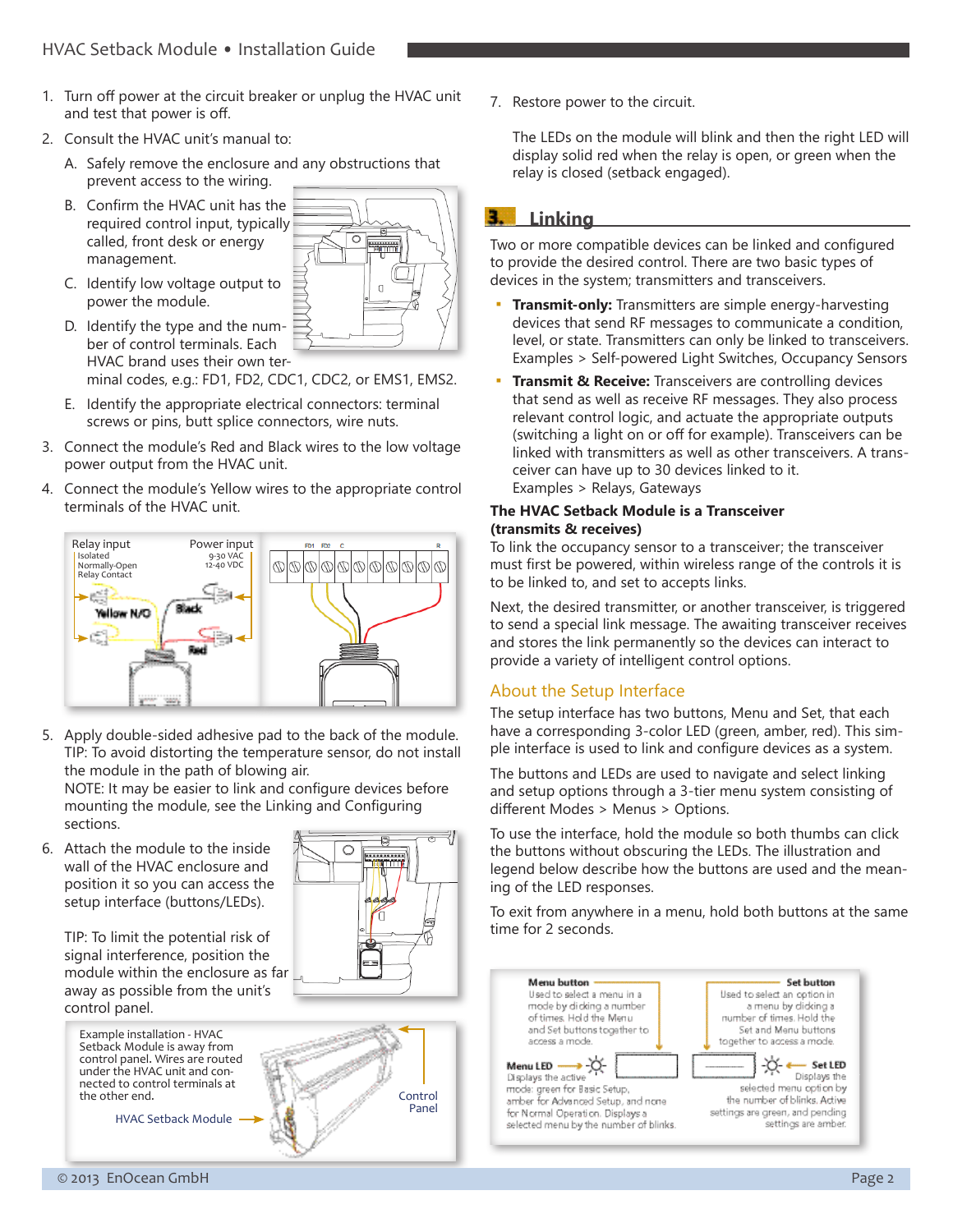- 1. Turn off power at the circuit breaker or unplug the HVAC unit and test that power is off.
- 2. Consult the HVAC unit's manual to:
	- A. Safely remove the enclosure and any obstructions that prevent access to the wiring.
	- B. Confirm the HVAC unit has the required control input, typically called, front desk or energy management.
	- C. Identify low voltage output to power the module.



D. Identify the type and the number of control terminals. Each HVAC brand uses their own terminal codes, e.g.: FD1, FD2, CDC1, CDC2, or EMS1, EMS2.

E. Identify the appropriate electrical connectors: terminal screws or pins, butt splice connectors, wire nuts.

- 3. Connect the module's Red and Black wires to the low voltage power output from the HVAC unit.
- 4. Connect the module's Yellow wires to the appropriate control terminals of the HVAC unit.



5. Apply double-sided adhesive pad to the back of the module. TIP: To avoid distorting the temperature sensor, do not install the module in the path of blowing air.

NOTE: It may be easier to link and configure devices before mounting the module, see the Linking and Configuring sections.

6. Attach the module to the inside wall of the HVAC enclosure and position it so you can access the setup interface (buttons/LEDs).

TIP: To limit the potential risk of signal interference, position the module within the enclosure as far away as possible from the unit's

Example installation - HVAC Setback Module is away from

under the HVAC unit and connected to control terminals at

HVAC Setback Module

 $\circ$ **EXPERIENCE** 



7. Restore power to the circuit.

The LEDs on the module will blink and then the right LED will display solid red when the relay is open, or green when the relay is closed (setback engaged).

#### **Linking** в.

Two or more compatible devices can be linked and configured to provide the desired control. There are two basic types of devices in the system; transmitters and transceivers.

- **Transmit-only:** Transmitters are simple energy-harvesting devices that send RF messages to communicate a condition, level, or state. Transmitters can only be linked to transceivers. Examples > Self-powered Light Switches, Occupancy Sensors
- **Transmit & Receive:** Transceivers are controlling devices that send as well as receive RF messages. They also process relevant control logic, and actuate the appropriate outputs (switching a light on or off for example). Transceivers can be linked with transmitters as well as other transceivers. A transceiver can have up to 30 devices linked to it. Examples > Relays, Gateways

#### **The HVAC Setback Module is a Transceiver (transmits & receives)**

To link the occupancy sensor to a transceiver; the transceiver must first be powered, within wireless range of the controls it is to be linked to, and set to accepts links.

Next, the desired transmitter, or another transceiver, is triggered to send a special link message. The awaiting transceiver receives and stores the link permanently so the devices can interact to provide a variety of intelligent control options.

## About the Setup Interface

The setup interface has two buttons, Menu and Set, that each have a corresponding 3-color LED (green, amber, red). This simple interface is used to link and configure devices as a system.

The buttons and LEDs are used to navigate and select linking and setup options through a 3-tier menu system consisting of different Modes > Menus > Options.

To use the interface, hold the module so both thumbs can click the buttons without obscuring the LEDs. The illustration and legend below describe how the buttons are used and the meaning of the LED responses.

To exit from anywhere in a menu, hold both buttons at the same time for 2 seconds.



control panel.

the other end.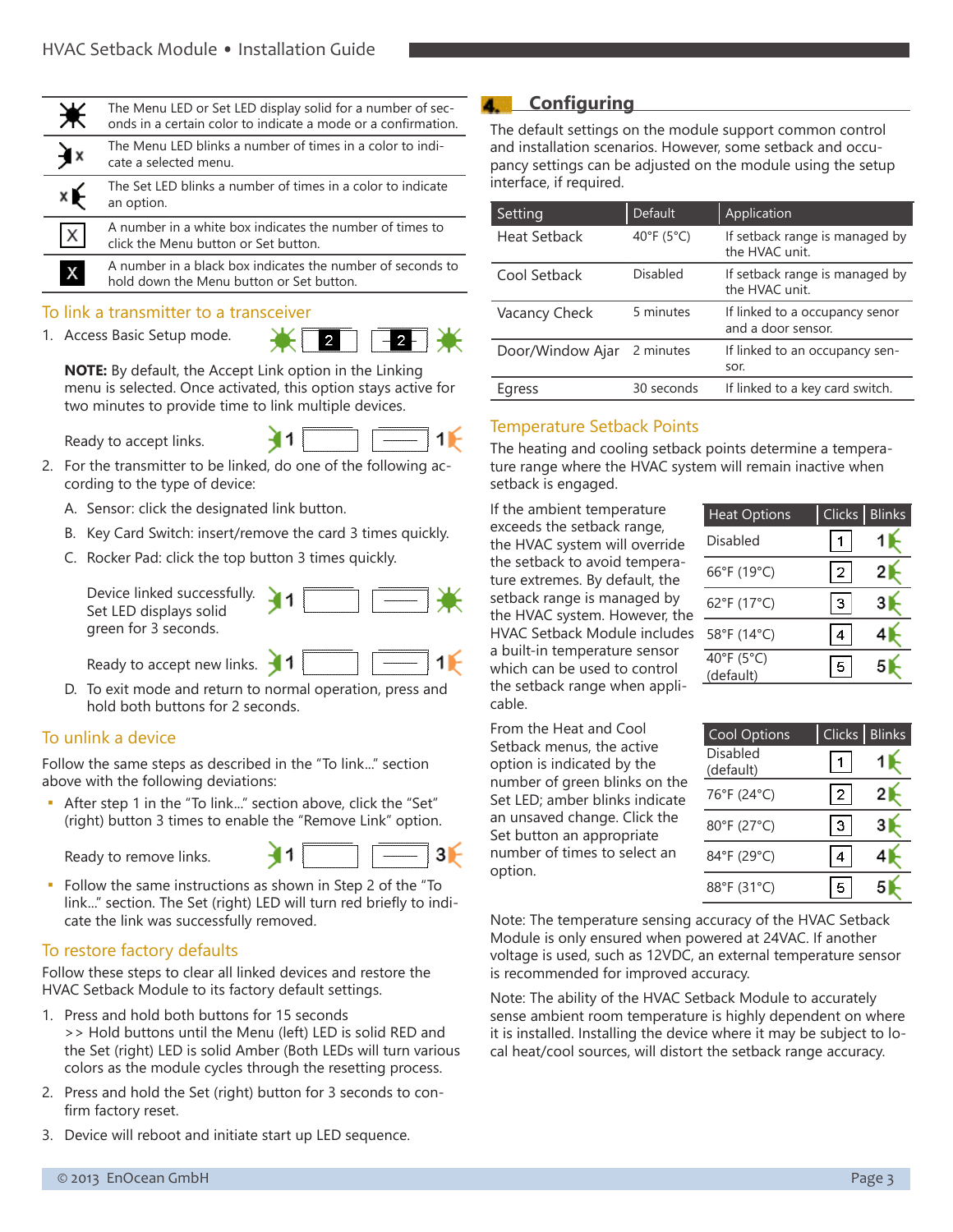| ☀            | The Menu LED or Set LED display solid for a number of sec-<br>onds in a certain color to indicate a mode or a confirmation. |
|--------------|-----------------------------------------------------------------------------------------------------------------------------|
| È×           | The Menu LED blinks a number of times in a color to indi-<br>cate a selected menu.                                          |
| ×É           | The Set LED blinks a number of times in a color to indicate<br>an option.                                                   |
| X            | A number in a white box indicates the number of times to<br>click the Menu button or Set button.                            |
| $\mathsf{X}$ | A number in a black box indicates the number of seconds to<br>hold down the Menu button or Set button.                      |

#### To link a transmitter to a transceiver

1. Access Basic Setup mode.

 $\overline{2}$ .  $2 \mid$ 

**NOTE:** By default, the Accept Link option in the Linking menu is selected. Once activated, this option stays active for two minutes to provide time to link multiple devices.

Ready to accept links.



- 2. For the transmitter to be linked, do one of the following according to the type of device:
	- A. Sensor: click the designated link button.
	- B. Key Card Switch: insert/remove the card 3 times quickly.
	- C. Rocker Pad: click the top button 3 times quickly.

Device linked success Set LED displays solid green for 3 seconds.

| . |  | ----------------------- |  |
|---|--|-------------------------|--|
|   |  |                         |  |

Ready to accept new links.

D. To exit mode and return to normal operation, press and hold both buttons for 2 seconds.

#### To unlink a device

Follow the same steps as described in the "To link..." section above with the following deviations:

After step 1 in the "To link..." section above, click the "Set" (right) button 3 times to enable the "Remove Link" option.

Ready to remove links.



▪ Follow the same instructions as shown in Step 2 of the "To link..." section. The Set (right) LED will turn red briefly to indicate the link was successfully removed.

### To restore factory defaults

Follow these steps to clear all linked devices and restore the HVAC Setback Module to its factory default settings.

- 1. Press and hold both buttons for 15 seconds >> Hold buttons until the Menu (left) LED is solid RED and the Set (right) LED is solid Amber (Both LEDs will turn various colors as the module cycles through the resetting process.
- 2. Press and hold the Set (right) button for 3 seconds to confirm factory reset.
- 3. Device will reboot and initiate start up LED sequence.

## **4.** Configuring

The default settings on the module support common control and installation scenarios. However, some setback and occupancy settings can be adjusted on the module using the setup interface, if required.

| Setting          | <b>Default</b> | Application                                          |
|------------------|----------------|------------------------------------------------------|
| Heat Setback     | 40°F (5°C)     | If setback range is managed by<br>the HVAC unit.     |
| Cool Setback     | Disabled       | If setback range is managed by<br>the HVAC unit.     |
| Vacancy Check    | 5 minutes      | If linked to a occupancy senor<br>and a door sensor. |
| Door/Window Ajar | 2 minutes      | If linked to an occupancy sen-<br>sor.               |
| Egress           | 30 seconds     | If linked to a key card switch.                      |

### Temperature Setback Points

The heating and cooling setback points determine a temperature range where the HVAC system will remain inactive when setback is engaged.

If the ambient temperature exceeds the setback range, the HVAC system will override the setback to avoid temperature extremes. By default, the setback range is managed by the HVAC system. However, the HVAC Setback Module includes a built-in temperature sensor which can be used to control the setback range when applicable.

| <b>Heat Options</b>     | Clicks       | <b>Blinks</b> |
|-------------------------|--------------|---------------|
| Disabled                |              |               |
| 66°F (19°C)             | $\mathbf{2}$ |               |
| 62°F (17°C)             | З.           |               |
| 58°F (14°C)             |              |               |
| 40°F (5°C)<br>(default) |              |               |

From the Heat and Cool Setback menus, the active option is indicated by the number of green blinks on the Set LED; amber blinks indicate an unsaved change. Click the Set button an appropriate number of times to select an option.

| <b>Cool Options</b>   | <b>Clicks</b> | <b>Blinks</b> |
|-----------------------|---------------|---------------|
| Disabled<br>(default) |               |               |
| 76°F (24°C)           | l 2 l         | 2             |
| 80°F (27°C)           | 3             |               |
| 84°F (29°C)           |               |               |
| 88°F (31°C)           | Б             |               |

Note: The temperature sensing accuracy of the HVAC Setback Module is only ensured when powered at 24VAC. If another voltage is used, such as 12VDC, an external temperature sensor is recommended for improved accuracy.

Note: The ability of the HVAC Setback Module to accurately sense ambient room temperature is highly dependent on where it is installed. Installing the device where it may be subject to local heat/cool sources, will distort the setback range accuracy.